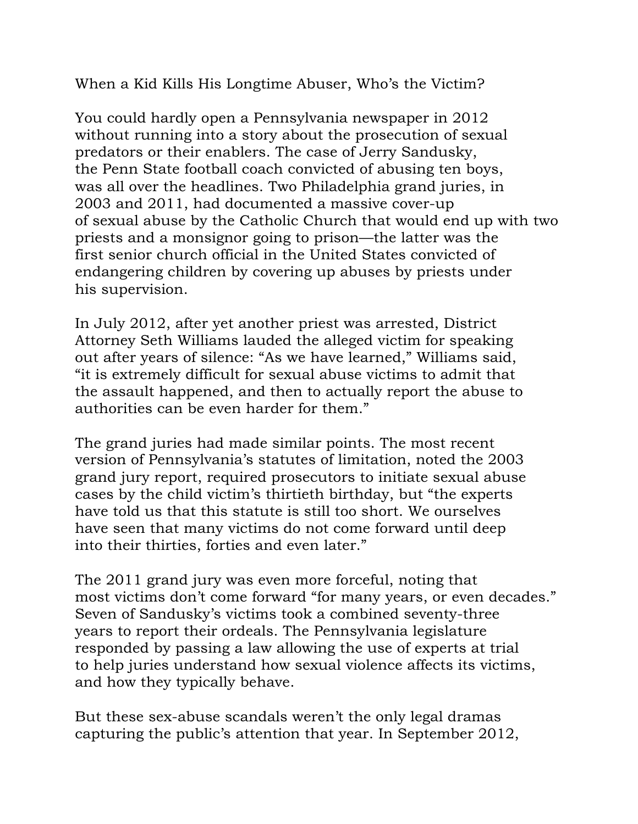When a Kid Kills His Longtime Abuser, Who's the Victim?

You could hardly open a Pennsylvania newspaper in 2012 without running into a story about the prosecution of sexual predators or their enablers. The case of Jerry Sandusky, the Penn State football coach convicted of abusing ten boys, was all over the headlines. Two Philadelphia grand juries, in 2003 and 2011, had documented a massive cover-up of sexual abuse by the Catholic Church that would end up with two priests and a monsignor going to prison—the latter was the first senior church official in the United States convicted of endangering children by covering up abuses by priests under his supervision.

In July 2012, after yet another priest was arrested, District Attorney Seth Williams lauded the alleged victim for speaking out after years of silence: "As we have learned," Williams said, "it is extremely difficult for sexual abuse victims to admit that the assault happened, and then to actually report the abuse to authorities can be even harder for them."

The grand juries had made similar points. The most recent version of Pennsylvania's statutes of limitation, noted the 2003 grand jury report, required prosecutors to initiate sexual abuse cases by the child victim's thirtieth birthday, but "the experts have told us that this statute is still too short. We ourselves have seen that many victims do not come forward until deep into their thirties, forties and even later."

The 2011 grand jury was even more forceful, noting that most victims don't come forward "for many years, or even decades." Seven of Sandusky's victims took a combined seventy-three years to report their ordeals. The Pennsylvania legislature responded by passing a law allowing the use of experts at trial to help juries understand how sexual violence affects its victims, and how they typically behave.

But these sex-abuse scandals weren't the only legal dramas capturing the public's attention that year. In September 2012,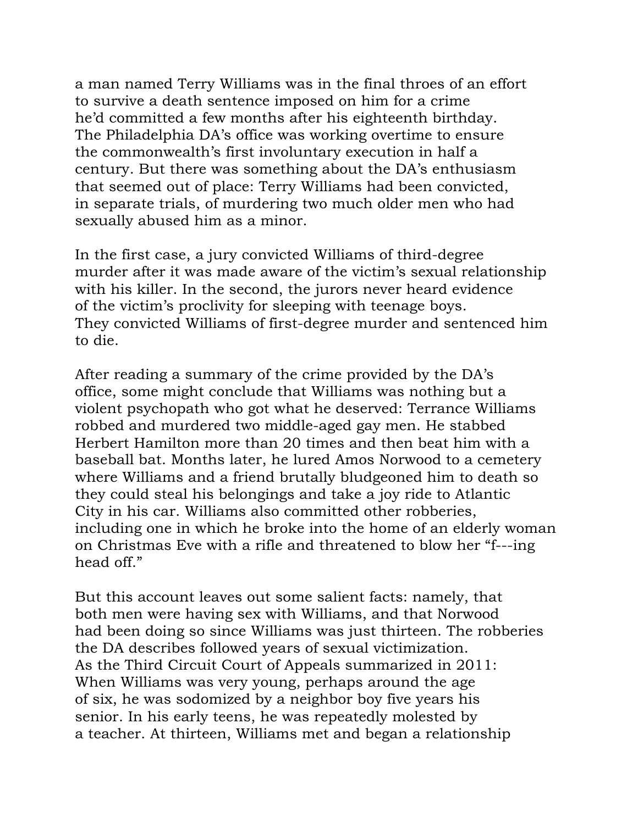a man named Terry Williams was in the final throes of an effort to survive a death sentence imposed on him for a crime he'd committed a few months after his eighteenth birthday. The Philadelphia DA's office was working overtime to ensure the commonwealth's first involuntary execution in half a century. But there was something about the DA's enthusiasm that seemed out of place: Terry Williams had been convicted, in separate trials, of murdering two much older men who had sexually abused him as a minor.

In the first case, a jury convicted Williams of third-degree murder after it was made aware of the victim's sexual relationship with his killer. In the second, the jurors never heard evidence of the victim's proclivity for sleeping with teenage boys. They convicted Williams of first-degree murder and sentenced him to die.

After reading a summary of the crime provided by the DA's office, some might conclude that Williams was nothing but a violent psychopath who got what he deserved: Terrance Williams robbed and murdered two middle-aged gay men. He stabbed Herbert Hamilton more than 20 times and then beat him with a baseball bat. Months later, he lured Amos Norwood to a cemetery where Williams and a friend brutally bludgeoned him to death so they could steal his belongings and take a joy ride to Atlantic City in his car. Williams also committed other robberies, including one in which he broke into the home of an elderly woman on Christmas Eve with a rifle and threatened to blow her "f---ing head off."

But this account leaves out some salient facts: namely, that both men were having sex with Williams, and that Norwood had been doing so since Williams was just thirteen. The robberies the DA describes followed years of sexual victimization. As the Third Circuit Court of Appeals summarized in 2011: When Williams was very young, perhaps around the age of six, he was sodomized by a neighbor boy five years his senior. In his early teens, he was repeatedly molested by a teacher. At thirteen, Williams met and began a relationship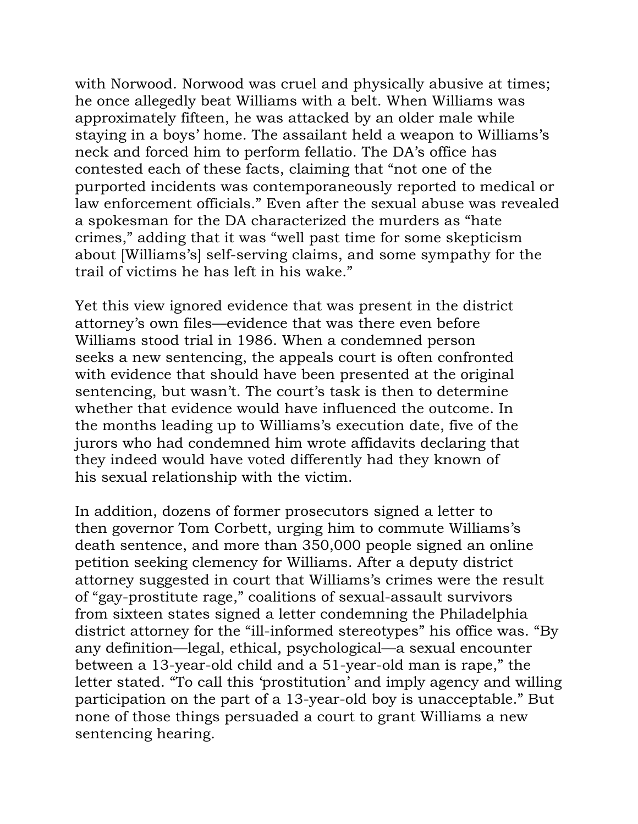with Norwood. Norwood was cruel and physically abusive at times; he once allegedly beat Williams with a belt. When Williams was approximately fifteen, he was attacked by an older male while staying in a boys' home. The assailant held a weapon to Williams's neck and forced him to perform fellatio. The DA's office has contested each of these facts, claiming that "not one of the purported incidents was contemporaneously reported to medical or law enforcement officials." Even after the sexual abuse was revealed a spokesman for the DA characterized the murders as "hate crimes," adding that it was "well past time for some skepticism about [Williams's] self-serving claims, and some sympathy for the trail of victims he has left in his wake."

Yet this view ignored evidence that was present in the district attorney's own files—evidence that was there even before Williams stood trial in 1986. When a condemned person seeks a new sentencing, the appeals court is often confronted with evidence that should have been presented at the original sentencing, but wasn't. The court's task is then to determine whether that evidence would have influenced the outcome. In the months leading up to Williams's execution date, five of the jurors who had condemned him wrote affidavits declaring that they indeed would have voted differently had they known of his sexual relationship with the victim.

In addition, dozens of former prosecutors signed a letter to then governor Tom Corbett, urging him to commute Williams's death sentence, and more than 350,000 people signed an online petition seeking clemency for Williams. After a deputy district attorney suggested in court that Williams's crimes were the result of "gay-prostitute rage," coalitions of sexual-assault survivors from sixteen states signed a letter condemning the Philadelphia district attorney for the "ill-informed stereotypes" his office was. "By any definition—legal, ethical, psychological—a sexual encounter between a 13-year-old child and a 51-year-old man is rape," the letter stated. "To call this 'prostitution' and imply agency and willing participation on the part of a 13-year-old boy is unacceptable." But none of those things persuaded a court to grant Williams a new sentencing hearing.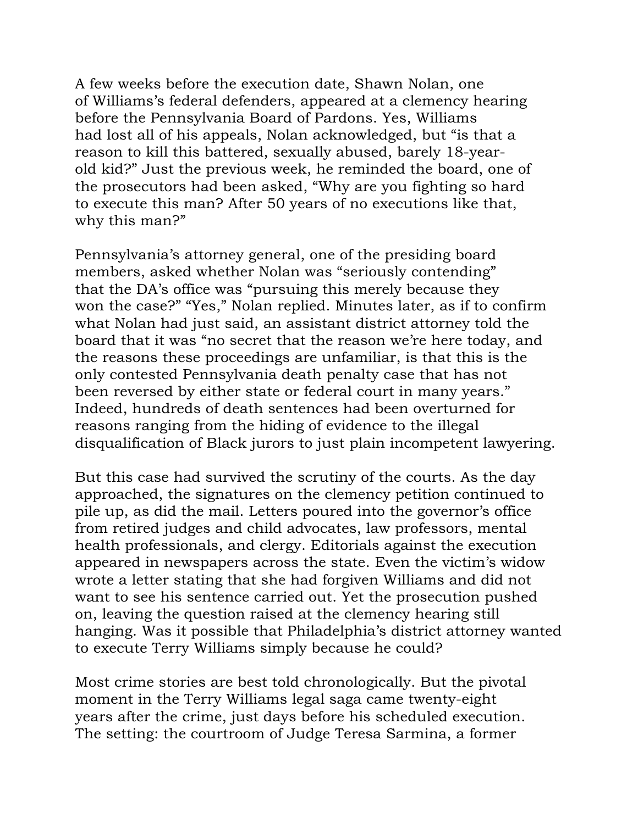A few weeks before the execution date, Shawn Nolan, one of Williams's federal defenders, appeared at a clemency hearing before the Pennsylvania Board of Pardons. Yes, Williams had lost all of his appeals, Nolan acknowledged, but "is that a reason to kill this battered, sexually abused, barely 18-yearold kid?" Just the previous week, he reminded the board, one of the prosecutors had been asked, "Why are you fighting so hard to execute this man? After 50 years of no executions like that, why this man?"

Pennsylvania's attorney general, one of the presiding board members, asked whether Nolan was "seriously contending" that the DA's office was "pursuing this merely because they won the case?" "Yes," Nolan replied. Minutes later, as if to confirm what Nolan had just said, an assistant district attorney told the board that it was "no secret that the reason we're here today, and the reasons these proceedings are unfamiliar, is that this is the only contested Pennsylvania death penalty case that has not been reversed by either state or federal court in many years." Indeed, hundreds of death sentences had been overturned for reasons ranging from the hiding of evidence to the illegal disqualification of Black jurors to just plain incompetent lawyering.

But this case had survived the scrutiny of the courts. As the day approached, the signatures on the clemency petition continued to pile up, as did the mail. Letters poured into the governor's office from retired judges and child advocates, law professors, mental health professionals, and clergy. Editorials against the execution appeared in newspapers across the state. Even the victim's widow wrote a letter stating that she had forgiven Williams and did not want to see his sentence carried out. Yet the prosecution pushed on, leaving the question raised at the clemency hearing still hanging. Was it possible that Philadelphia's district attorney wanted to execute Terry Williams simply because he could?

Most crime stories are best told chronologically. But the pivotal moment in the Terry Williams legal saga came twenty-eight years after the crime, just days before his scheduled execution. The setting: the courtroom of Judge Teresa Sarmina, a former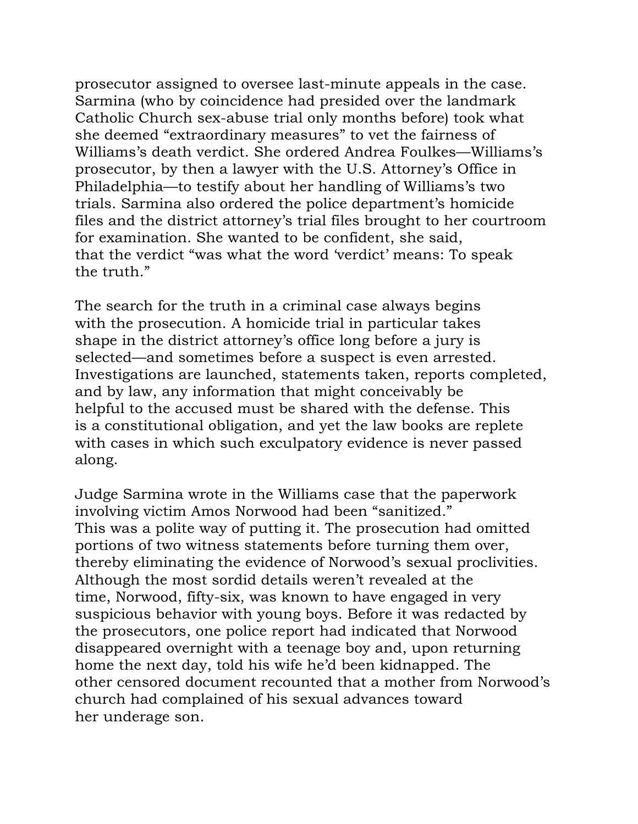prosecutor assigned to oversee last-minute appeals in the case. Sarmina (who by coincidence had presided over the landmark Catholic Church sex-abuse trial only months before) took what she deemed "extraordinary measures" to vet the fairness of Williams's death verdict. She ordered Andrea Foulkes—Williams's prosecutor, by then a lawyer with the U.S. Attorney's Office in Philadelphia—to testify about her handling of Williams's two trials. Sarmina also ordered the police department's homicide files and the district attorney's trial files brought to her courtroom for examination. She wanted to be confident, she said, that the verdict "was what the word 'verdict' means: To speak the truth."

The search for the truth in a criminal case always begins with the prosecution. A homicide trial in particular takes shape in the district attorney's office long before a jury is selected—and sometimes before a suspect is even arrested. Investigations are launched, statements taken, reports completed, and by law, any information that might conceivably be helpful to the accused must be shared with the defense. This is a constitutional obligation, and yet the law books are replete with cases in which such exculpatory evidence is never passed along.

Judge Sarmina wrote in the Williams case that the paperwork involving victim Amos Norwood had been "sanitized." This was a polite way of putting it. The prosecution had omitted portions of two witness statements before turning them over, thereby eliminating the evidence of Norwood's sexual proclivities. Although the most sordid details weren't revealed at the time, Norwood, fifty-six, was known to have engaged in very suspicious behavior with young boys. Before it was redacted by the prosecutors, one police report had indicated that Norwood disappeared overnight with a teenage boy and, upon returning home the next day, told his wife he'd been kidnapped. The other censored document recounted that a mother from Norwood's church had complained of his sexual advances toward her underage son.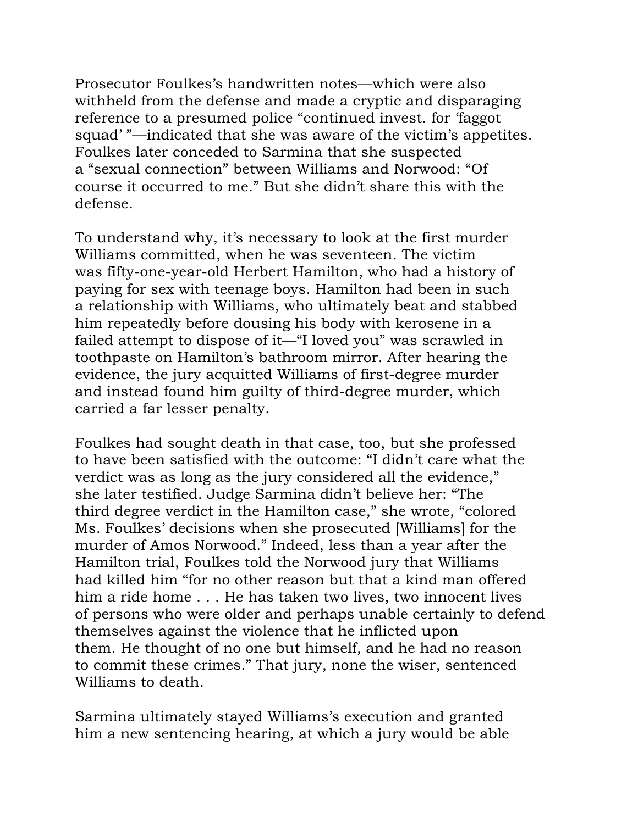Prosecutor Foulkes's handwritten notes—which were also withheld from the defense and made a cryptic and disparaging reference to a presumed police "continued invest. for 'faggot squad' "—indicated that she was aware of the victim's appetites. Foulkes later conceded to Sarmina that she suspected a "sexual connection" between Williams and Norwood: "Of course it occurred to me." But she didn't share this with the defense.

To understand why, it's necessary to look at the first murder Williams committed, when he was seventeen. The victim was fifty-one-year-old Herbert Hamilton, who had a history of paying for sex with teenage boys. Hamilton had been in such a relationship with Williams, who ultimately beat and stabbed him repeatedly before dousing his body with kerosene in a failed attempt to dispose of it—"I loved you" was scrawled in toothpaste on Hamilton's bathroom mirror. After hearing the evidence, the jury acquitted Williams of first-degree murder and instead found him guilty of third-degree murder, which carried a far lesser penalty.

Foulkes had sought death in that case, too, but she professed to have been satisfied with the outcome: "I didn't care what the verdict was as long as the jury considered all the evidence," she later testified. Judge Sarmina didn't believe her: "The third degree verdict in the Hamilton case," she wrote, "colored Ms. Foulkes' decisions when she prosecuted [Williams] for the murder of Amos Norwood." Indeed, less than a year after the Hamilton trial, Foulkes told the Norwood jury that Williams had killed him "for no other reason but that a kind man offered him a ride home . . . He has taken two lives, two innocent lives of persons who were older and perhaps unable certainly to defend themselves against the violence that he inflicted upon them. He thought of no one but himself, and he had no reason to commit these crimes." That jury, none the wiser, sentenced Williams to death.

Sarmina ultimately stayed Williams's execution and granted him a new sentencing hearing, at which a jury would be able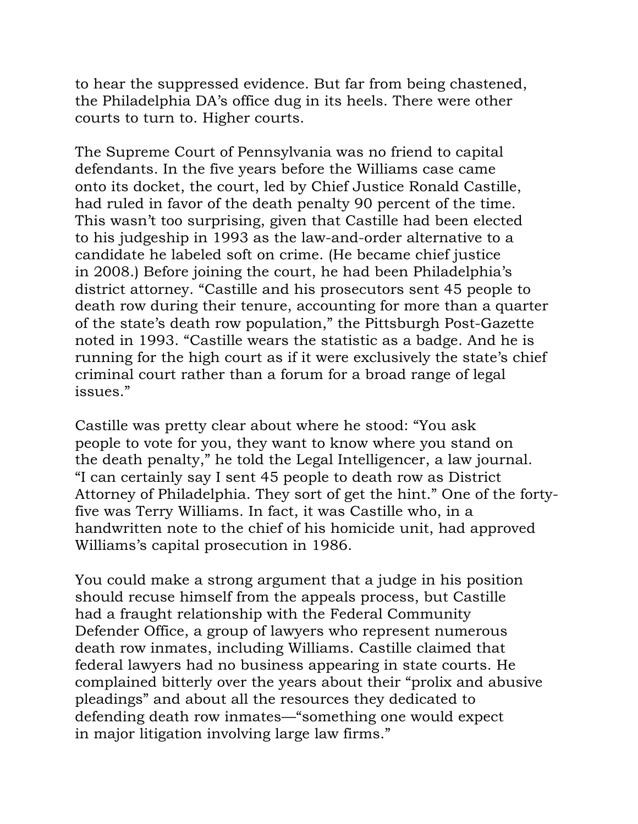to hear the suppressed evidence. But far from being chastened, the Philadelphia DA's office dug in its heels. There were other courts to turn to. Higher courts.

The Supreme Court of Pennsylvania was no friend to capital defendants. In the five years before the Williams case came onto its docket, the court, led by Chief Justice Ronald Castille, had ruled in favor of the death penalty 90 percent of the time. This wasn't too surprising, given that Castille had been elected to his judgeship in 1993 as the law-and-order alternative to a candidate he labeled soft on crime. (He became chief justice in 2008.) Before joining the court, he had been Philadelphia's district attorney. "Castille and his prosecutors sent 45 people to death row during their tenure, accounting for more than a quarter of the state's death row population," the Pittsburgh Post-Gazette noted in 1993. "Castille wears the statistic as a badge. And he is running for the high court as if it were exclusively the state's chief criminal court rather than a forum for a broad range of legal issues."

Castille was pretty clear about where he stood: "You ask people to vote for you, they want to know where you stand on the death penalty," he told the Legal Intelligencer, a law journal. "I can certainly say I sent 45 people to death row as District Attorney of Philadelphia. They sort of get the hint." One of the fortyfive was Terry Williams. In fact, it was Castille who, in a handwritten note to the chief of his homicide unit, had approved Williams's capital prosecution in 1986.

You could make a strong argument that a judge in his position should recuse himself from the appeals process, but Castille had a fraught relationship with the Federal Community Defender Office, a group of lawyers who represent numerous death row inmates, including Williams. Castille claimed that federal lawyers had no business appearing in state courts. He complained bitterly over the years about their "prolix and abusive pleadings" and about all the resources they dedicated to defending death row inmates—"something one would expect in major litigation involving large law firms."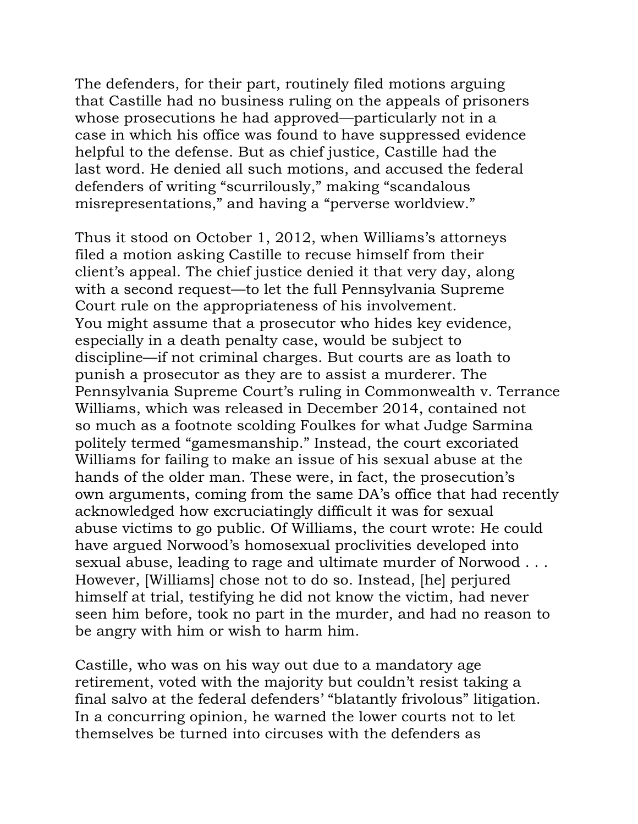The defenders, for their part, routinely filed motions arguing that Castille had no business ruling on the appeals of prisoners whose prosecutions he had approved—particularly not in a case in which his office was found to have suppressed evidence helpful to the defense. But as chief justice, Castille had the last word. He denied all such motions, and accused the federal defenders of writing "scurrilously," making "scandalous misrepresentations," and having a "perverse worldview."

Thus it stood on October 1, 2012, when Williams's attorneys filed a motion asking Castille to recuse himself from their client's appeal. The chief justice denied it that very day, along with a second request—to let the full Pennsylvania Supreme Court rule on the appropriateness of his involvement. You might assume that a prosecutor who hides key evidence, especially in a death penalty case, would be subject to discipline—if not criminal charges. But courts are as loath to punish a prosecutor as they are to assist a murderer. The Pennsylvania Supreme Court's ruling in Commonwealth v. Terrance Williams, which was released in December 2014, contained not so much as a footnote scolding Foulkes for what Judge Sarmina politely termed "gamesmanship." Instead, the court excoriated Williams for failing to make an issue of his sexual abuse at the hands of the older man. These were, in fact, the prosecution's own arguments, coming from the same DA's office that had recently acknowledged how excruciatingly difficult it was for sexual abuse victims to go public. Of Williams, the court wrote: He could have argued Norwood's homosexual proclivities developed into sexual abuse, leading to rage and ultimate murder of Norwood . . . However, [Williams] chose not to do so. Instead, [he] perjured himself at trial, testifying he did not know the victim, had never seen him before, took no part in the murder, and had no reason to be angry with him or wish to harm him.

Castille, who was on his way out due to a mandatory age retirement, voted with the majority but couldn't resist taking a final salvo at the federal defenders' "blatantly frivolous" litigation. In a concurring opinion, he warned the lower courts not to let themselves be turned into circuses with the defenders as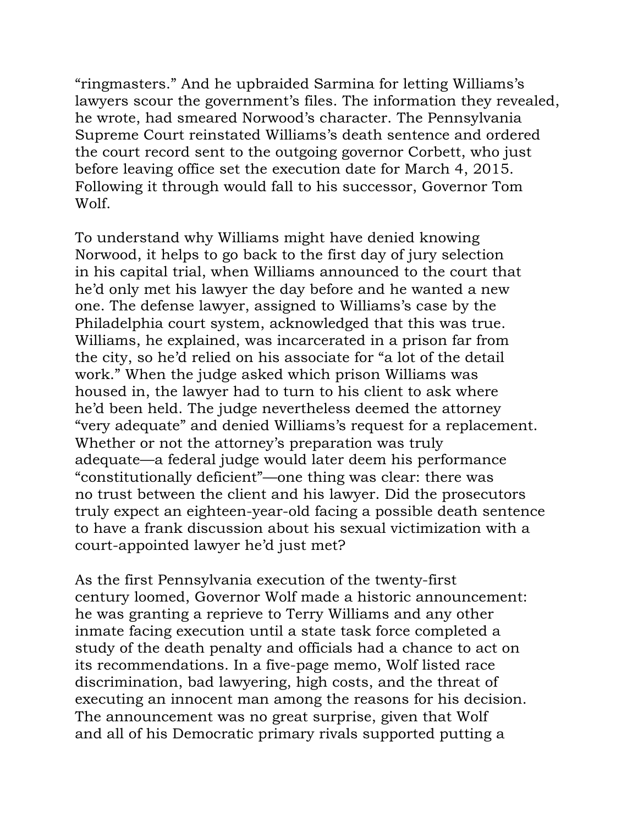"ringmasters." And he upbraided Sarmina for letting Williams's lawyers scour the government's files. The information they revealed, he wrote, had smeared Norwood's character. The Pennsylvania Supreme Court reinstated Williams's death sentence and ordered the court record sent to the outgoing governor Corbett, who just before leaving office set the execution date for March 4, 2015. Following it through would fall to his successor, Governor Tom Wolf.

To understand why Williams might have denied knowing Norwood, it helps to go back to the first day of jury selection in his capital trial, when Williams announced to the court that he'd only met his lawyer the day before and he wanted a new one. The defense lawyer, assigned to Williams's case by the Philadelphia court system, acknowledged that this was true. Williams, he explained, was incarcerated in a prison far from the city, so he'd relied on his associate for "a lot of the detail work." When the judge asked which prison Williams was housed in, the lawyer had to turn to his client to ask where he'd been held. The judge nevertheless deemed the attorney "very adequate" and denied Williams's request for a replacement. Whether or not the attorney's preparation was truly adequate—a federal judge would later deem his performance "constitutionally deficient"—one thing was clear: there was no trust between the client and his lawyer. Did the prosecutors truly expect an eighteen-year-old facing a possible death sentence to have a frank discussion about his sexual victimization with a court-appointed lawyer he'd just met?

As the first Pennsylvania execution of the twenty-first century loomed, Governor Wolf made a historic announcement: he was granting a reprieve to Terry Williams and any other inmate facing execution until a state task force completed a study of the death penalty and officials had a chance to act on its recommendations. In a five-page memo, Wolf listed race discrimination, bad lawyering, high costs, and the threat of executing an innocent man among the reasons for his decision. The announcement was no great surprise, given that Wolf and all of his Democratic primary rivals supported putting a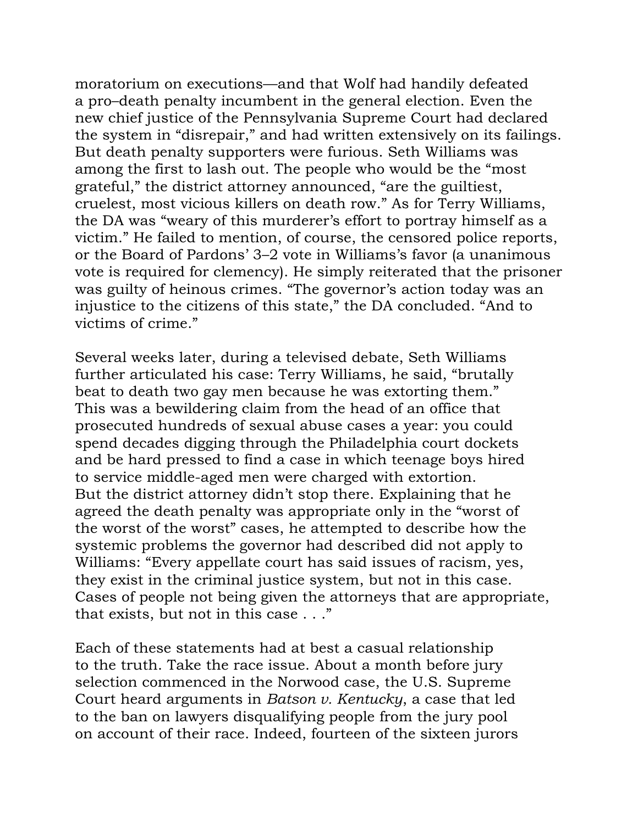moratorium on executions—and that Wolf had handily defeated a pro–death penalty incumbent in the general election. Even the new chief justice of the Pennsylvania Supreme Court had declared the system in "disrepair," and had written extensively on its failings. But death penalty supporters were furious. Seth Williams was among the first to lash out. The people who would be the "most grateful," the district attorney announced, "are the guiltiest, cruelest, most vicious killers on death row." As for Terry Williams, the DA was "weary of this murderer's effort to portray himself as a victim." He failed to mention, of course, the censored police reports, or the Board of Pardons' 3–2 vote in Williams's favor (a unanimous vote is required for clemency). He simply reiterated that the prisoner was guilty of heinous crimes. "The governor's action today was an injustice to the citizens of this state," the DA concluded. "And to victims of crime."

Several weeks later, during a televised debate, Seth Williams further articulated his case: Terry Williams, he said, "brutally beat to death two gay men because he was extorting them." This was a bewildering claim from the head of an office that prosecuted hundreds of sexual abuse cases a year: you could spend decades digging through the Philadelphia court dockets and be hard pressed to find a case in which teenage boys hired to service middle-aged men were charged with extortion. But the district attorney didn't stop there. Explaining that he agreed the death penalty was appropriate only in the "worst of the worst of the worst" cases, he attempted to describe how the systemic problems the governor had described did not apply to Williams: "Every appellate court has said issues of racism, yes, they exist in the criminal justice system, but not in this case. Cases of people not being given the attorneys that are appropriate, that exists, but not in this case . . ."

Each of these statements had at best a casual relationship to the truth. Take the race issue. About a month before jury selection commenced in the Norwood case, the U.S. Supreme Court heard arguments in *Batson v. Kentucky*, a case that led to the ban on lawyers disqualifying people from the jury pool on account of their race. Indeed, fourteen of the sixteen jurors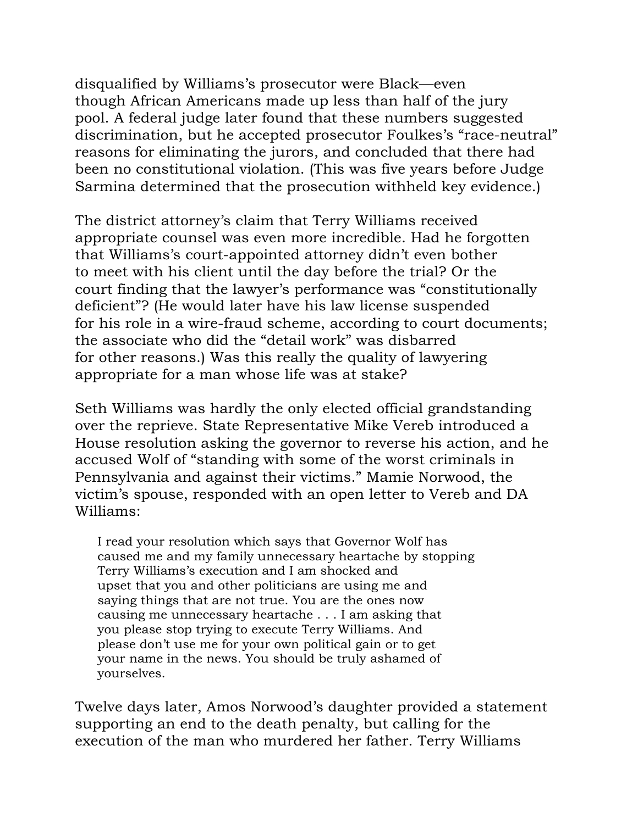disqualified by Williams's prosecutor were Black—even though African Americans made up less than half of the jury pool. A federal judge later found that these numbers suggested discrimination, but he accepted prosecutor Foulkes's "race-neutral" reasons for eliminating the jurors, and concluded that there had been no constitutional violation. (This was five years before Judge Sarmina determined that the prosecution withheld key evidence.)

The district attorney's claim that Terry Williams received appropriate counsel was even more incredible. Had he forgotten that Williams's court-appointed attorney didn't even bother to meet with his client until the day before the trial? Or the court finding that the lawyer's performance was "constitutionally deficient"? (He would later have his law license suspended for his role in a wire-fraud scheme, according to court documents; the associate who did the "detail work" was disbarred for other reasons.) Was this really the quality of lawyering appropriate for a man whose life was at stake?

Seth Williams was hardly the only elected official grandstanding over the reprieve. State Representative Mike Vereb introduced a House resolution asking the governor to reverse his action, and he accused Wolf of "standing with some of the worst criminals in Pennsylvania and against their victims." Mamie Norwood, the victim's spouse, responded with an open letter to Vereb and DA Williams:

I read your resolution which says that Governor Wolf has caused me and my family unnecessary heartache by stopping Terry Williams's execution and I am shocked and upset that you and other politicians are using me and saying things that are not true. You are the ones now causing me unnecessary heartache . . . I am asking that you please stop trying to execute Terry Williams. And please don't use me for your own political gain or to get your name in the news. You should be truly ashamed of yourselves.

Twelve days later, Amos Norwood's daughter provided a statement supporting an end to the death penalty, but calling for the execution of the man who murdered her father. Terry Williams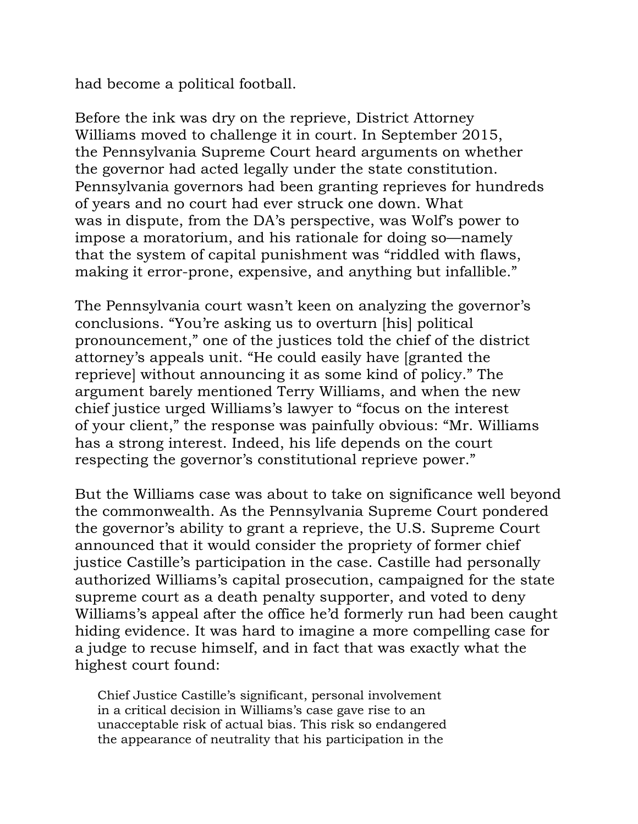had become a political football.

Before the ink was dry on the reprieve, District Attorney Williams moved to challenge it in court. In September 2015, the Pennsylvania Supreme Court heard arguments on whether the governor had acted legally under the state constitution. Pennsylvania governors had been granting reprieves for hundreds of years and no court had ever struck one down. What was in dispute, from the DA's perspective, was Wolf's power to impose a moratorium, and his rationale for doing so—namely that the system of capital punishment was "riddled with flaws, making it error-prone, expensive, and anything but infallible."

The Pennsylvania court wasn't keen on analyzing the governor's conclusions. "You're asking us to overturn [his] political pronouncement," one of the justices told the chief of the district attorney's appeals unit. "He could easily have [granted the reprieve] without announcing it as some kind of policy." The argument barely mentioned Terry Williams, and when the new chief justice urged Williams's lawyer to "focus on the interest of your client," the response was painfully obvious: "Mr. Williams has a strong interest. Indeed, his life depends on the court respecting the governor's constitutional reprieve power."

But the Williams case was about to take on significance well beyond the commonwealth. As the Pennsylvania Supreme Court pondered the governor's ability to grant a reprieve, the U.S. Supreme Court announced that it would consider the propriety of former chief justice Castille's participation in the case. Castille had personally authorized Williams's capital prosecution, campaigned for the state supreme court as a death penalty supporter, and voted to deny Williams's appeal after the office he'd formerly run had been caught hiding evidence. It was hard to imagine a more compelling case for a judge to recuse himself, and in fact that was exactly what the highest court found:

Chief Justice Castille's significant, personal involvement in a critical decision in Williams's case gave rise to an unacceptable risk of actual bias. This risk so endangered the appearance of neutrality that his participation in the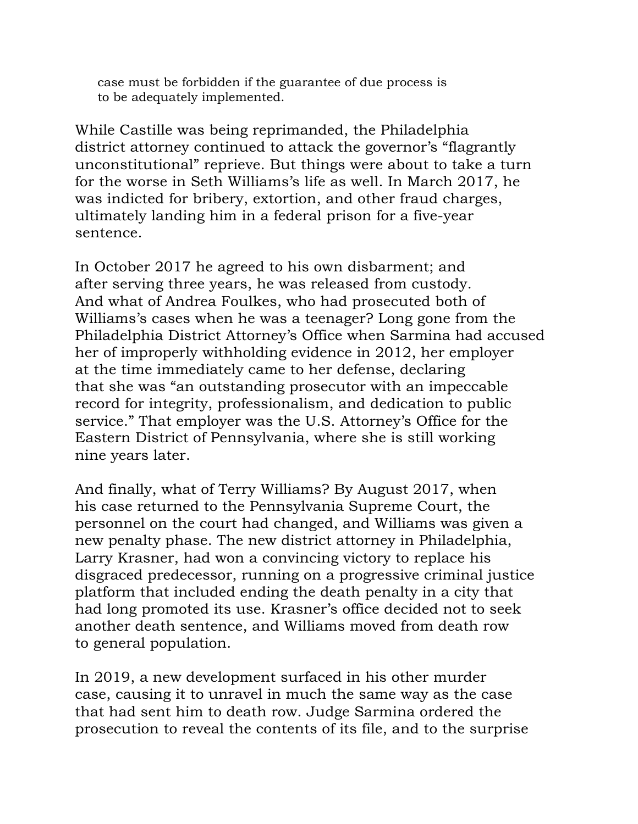case must be forbidden if the guarantee of due process is to be adequately implemented.

While Castille was being reprimanded, the Philadelphia district attorney continued to attack the governor's "flagrantly unconstitutional" reprieve. But things were about to take a turn for the worse in Seth Williams's life as well. In March 2017, he was indicted for bribery, extortion, and other fraud charges, ultimately landing him in a federal prison for a five-year sentence.

In October 2017 he agreed to his own disbarment; and after serving three years, he was released from custody. And what of Andrea Foulkes, who had prosecuted both of Williams's cases when he was a teenager? Long gone from the Philadelphia District Attorney's Office when Sarmina had accused her of improperly withholding evidence in 2012, her employer at the time immediately came to her defense, declaring that she was "an outstanding prosecutor with an impeccable record for integrity, professionalism, and dedication to public service." That employer was the U.S. Attorney's Office for the Eastern District of Pennsylvania, where she is still working nine years later.

And finally, what of Terry Williams? By August 2017, when his case returned to the Pennsylvania Supreme Court, the personnel on the court had changed, and Williams was given a new penalty phase. The new district attorney in Philadelphia, Larry Krasner, had won a convincing victory to replace his disgraced predecessor, running on a progressive criminal justice platform that included ending the death penalty in a city that had long promoted its use. Krasner's office decided not to seek another death sentence, and Williams moved from death row to general population.

In 2019, a new development surfaced in his other murder case, causing it to unravel in much the same way as the case that had sent him to death row. Judge Sarmina ordered the prosecution to reveal the contents of its file, and to the surprise